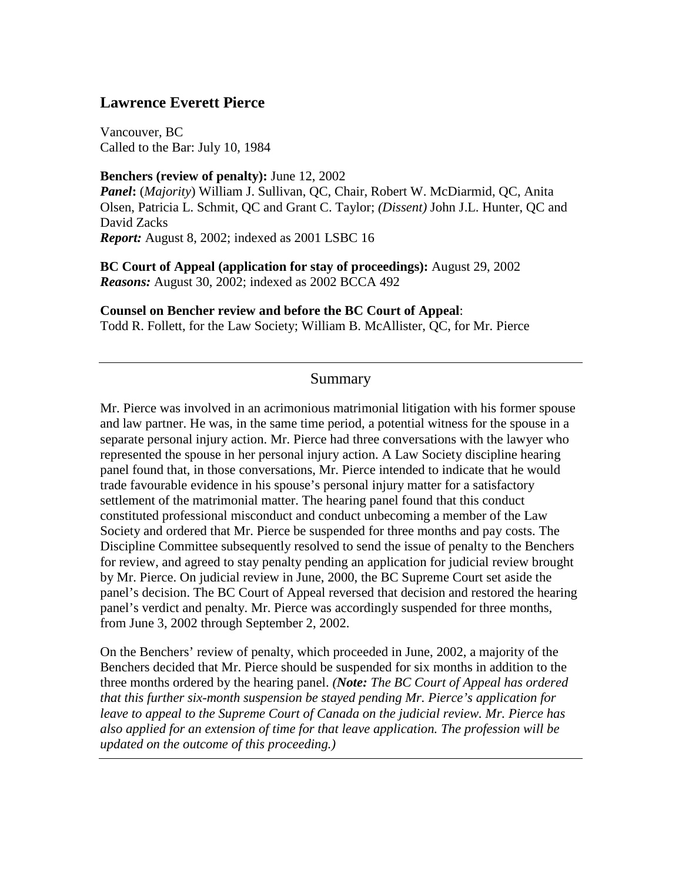### **Lawrence Everett Pierce**

Vancouver, BC Called to the Bar: July 10, 1984

**Benchers (review of penalty):** June 12, 2002 *Panel***:** (*Majority*) William J. Sullivan, QC, Chair, Robert W. McDiarmid, QC, Anita Olsen, Patricia L. Schmit, QC and Grant C. Taylor; *(Dissent)* John J.L. Hunter, QC and David Zacks *Report:* August 8, 2002; indexed as 2001 LSBC 16

**BC Court of Appeal (application for stay of proceedings):** August 29, 2002 *Reasons:* August 30, 2002; indexed as 2002 BCCA 492

**Counsel on Bencher review and before the BC Court of Appeal**: Todd R. Follett, for the Law Society; William B. McAllister, QC, for Mr. Pierce

### Summary

Mr. Pierce was involved in an acrimonious matrimonial litigation with his former spouse and law partner. He was, in the same time period, a potential witness for the spouse in a separate personal injury action. Mr. Pierce had three conversations with the lawyer who represented the spouse in her personal injury action. A Law Society discipline hearing panel found that, in those conversations, Mr. Pierce intended to indicate that he would trade favourable evidence in his spouse's personal injury matter for a satisfactory settlement of the matrimonial matter. The hearing panel found that this conduct constituted professional misconduct and conduct unbecoming a member of the Law Society and ordered that Mr. Pierce be suspended for three months and pay costs. The Discipline Committee subsequently resolved to send the issue of penalty to the Benchers for review, and agreed to stay penalty pending an application for judicial review brought by Mr. Pierce. On judicial review in June, 2000, the BC Supreme Court set aside the panel's decision. The BC Court of Appeal reversed that decision and restored the hearing panel's verdict and penalty. Mr. Pierce was accordingly suspended for three months, from June 3, 2002 through September 2, 2002.

On the Benchers' review of penalty, which proceeded in June, 2002, a majority of the Benchers decided that Mr. Pierce should be suspended for six months in addition to the three months ordered by the hearing panel. *(Note: The BC Court of Appeal has ordered that this further six-month suspension be stayed pending Mr. Pierce's application for leave to appeal to the Supreme Court of Canada on the judicial review. Mr. Pierce has also applied for an extension of time for that leave application. The profession will be updated on the outcome of this proceeding.)*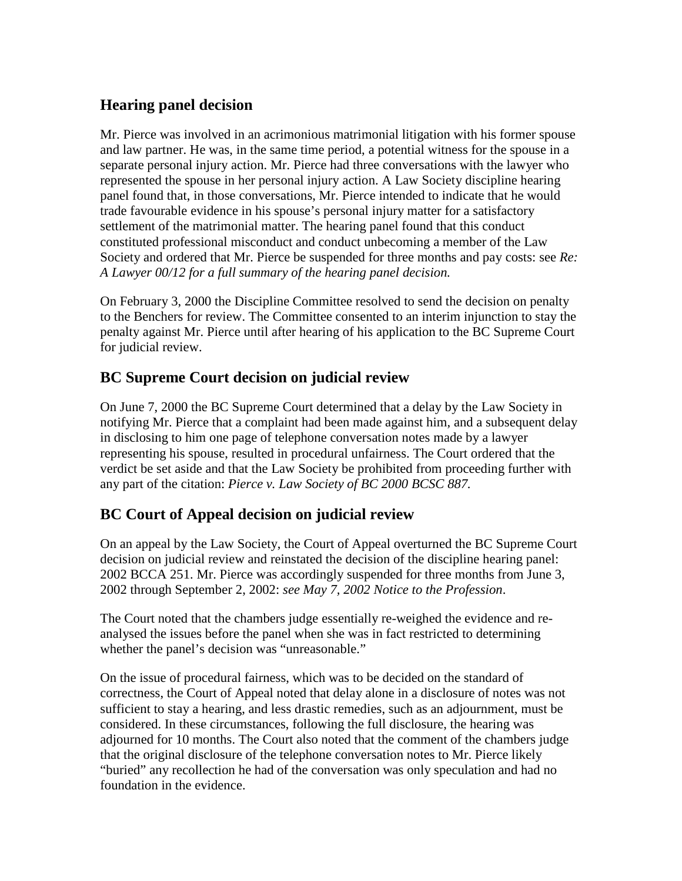# **Hearing panel decision**

Mr. Pierce was involved in an acrimonious matrimonial litigation with his former spouse and law partner. He was, in the same time period, a potential witness for the spouse in a separate personal injury action. Mr. Pierce had three conversations with the lawyer who represented the spouse in her personal injury action. A Law Society discipline hearing panel found that, in those conversations, Mr. Pierce intended to indicate that he would trade favourable evidence in his spouse's personal injury matter for a satisfactory settlement of the matrimonial matter. The hearing panel found that this conduct constituted professional misconduct and conduct unbecoming a member of the Law Society and ordered that Mr. Pierce be suspended for three months and pay costs: see *Re: A Lawyer 00/12 for a full summary of the hearing panel decision.*

On February 3, 2000 the Discipline Committee resolved to send the decision on penalty to the Benchers for review. The Committee consented to an interim injunction to stay the penalty against Mr. Pierce until after hearing of his application to the BC Supreme Court for judicial review.

# **BC Supreme Court decision on judicial review**

On June 7, 2000 the BC Supreme Court determined that a delay by the Law Society in notifying Mr. Pierce that a complaint had been made against him, and a subsequent delay in disclosing to him one page of telephone conversation notes made by a lawyer representing his spouse, resulted in procedural unfairness. The Court ordered that the verdict be set aside and that the Law Society be prohibited from proceeding further with any part of the citation: *Pierce v. Law Society of BC 2000 BCSC 887.*

## **BC Court of Appeal decision on judicial review**

On an appeal by the Law Society, the Court of Appeal overturned the BC Supreme Court decision on judicial review and reinstated the decision of the discipline hearing panel: 2002 BCCA 251. Mr. Pierce was accordingly suspended for three months from June 3, 2002 through September 2, 2002: *see May 7, 2002 Notice to the Profession*.

The Court noted that the chambers judge essentially re-weighed the evidence and reanalysed the issues before the panel when she was in fact restricted to determining whether the panel's decision was "unreasonable."

On the issue of procedural fairness, which was to be decided on the standard of correctness, the Court of Appeal noted that delay alone in a disclosure of notes was not sufficient to stay a hearing, and less drastic remedies, such as an adjournment, must be considered. In these circumstances, following the full disclosure, the hearing was adjourned for 10 months. The Court also noted that the comment of the chambers judge that the original disclosure of the telephone conversation notes to Mr. Pierce likely "buried" any recollection he had of the conversation was only speculation and had no foundation in the evidence.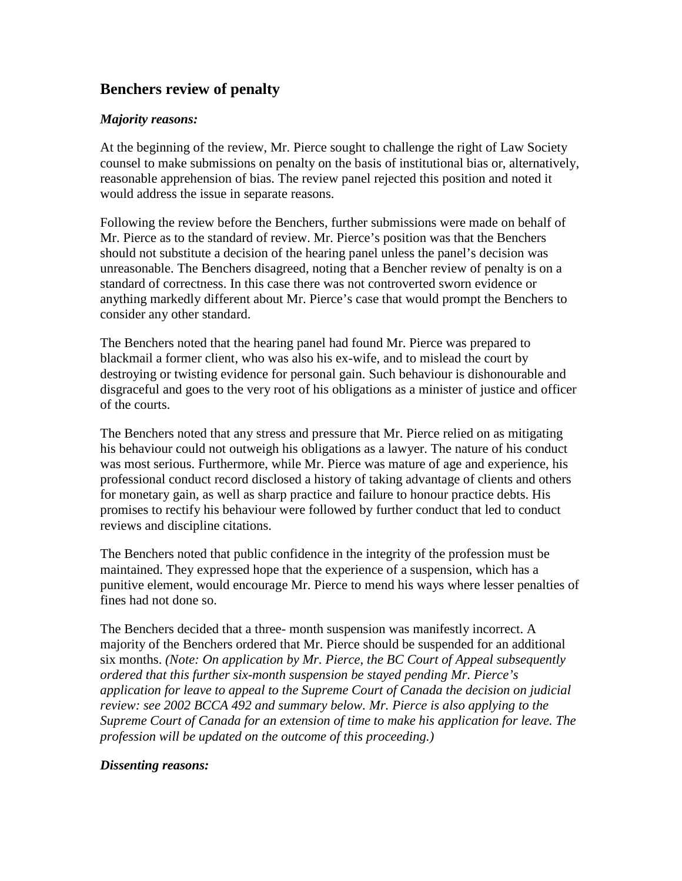## **Benchers review of penalty**

#### *Majority reasons:*

At the beginning of the review, Mr. Pierce sought to challenge the right of Law Society counsel to make submissions on penalty on the basis of institutional bias or, alternatively, reasonable apprehension of bias. The review panel rejected this position and noted it would address the issue in separate reasons.

Following the review before the Benchers, further submissions were made on behalf of Mr. Pierce as to the standard of review. Mr. Pierce's position was that the Benchers should not substitute a decision of the hearing panel unless the panel's decision was unreasonable. The Benchers disagreed, noting that a Bencher review of penalty is on a standard of correctness. In this case there was not controverted sworn evidence or anything markedly different about Mr. Pierce's case that would prompt the Benchers to consider any other standard.

The Benchers noted that the hearing panel had found Mr. Pierce was prepared to blackmail a former client, who was also his ex-wife, and to mislead the court by destroying or twisting evidence for personal gain. Such behaviour is dishonourable and disgraceful and goes to the very root of his obligations as a minister of justice and officer of the courts.

The Benchers noted that any stress and pressure that Mr. Pierce relied on as mitigating his behaviour could not outweigh his obligations as a lawyer. The nature of his conduct was most serious. Furthermore, while Mr. Pierce was mature of age and experience, his professional conduct record disclosed a history of taking advantage of clients and others for monetary gain, as well as sharp practice and failure to honour practice debts. His promises to rectify his behaviour were followed by further conduct that led to conduct reviews and discipline citations.

The Benchers noted that public confidence in the integrity of the profession must be maintained. They expressed hope that the experience of a suspension, which has a punitive element, would encourage Mr. Pierce to mend his ways where lesser penalties of fines had not done so.

The Benchers decided that a three- month suspension was manifestly incorrect. A majority of the Benchers ordered that Mr. Pierce should be suspended for an additional six months. *(Note: On application by Mr. Pierce, the BC Court of Appeal subsequently ordered that this further six-month suspension be stayed pending Mr. Pierce's application for leave to appeal to the Supreme Court of Canada the decision on judicial review: see 2002 BCCA 492 and summary below. Mr. Pierce is also applying to the Supreme Court of Canada for an extension of time to make his application for leave. The profession will be updated on the outcome of this proceeding.)*

#### *Dissenting reasons:*